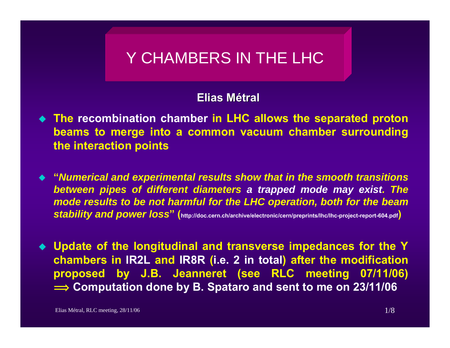# Y CHAMBERS IN THE LHC

#### **Elias Métral**

- **The recombination chamber in LHC allows the separated proton beams to merge into a common vacuum chamber surrounding the interaction points**
- **"***Numerical and experimental results show that in the smooth transitions between pipes of different diameters a trapped mode may exist. The mode results to be not harmful for the LHC operation, both for the beam stability and power loss***" (http://doc.cern.ch/archive/electronic/cern/preprints/lhc/lhc-project-report-604.pdf)**
- **Update of the longitudinal and transverse impedances for the Y chambers in IR2L and IR8R (i.e. 2 in total) after the modification proposed by J.B. Jeanneret (see RLC meeting 07/11/06)**   $\implies$  Computation done by B. Spataro and sent to me on 23/11/06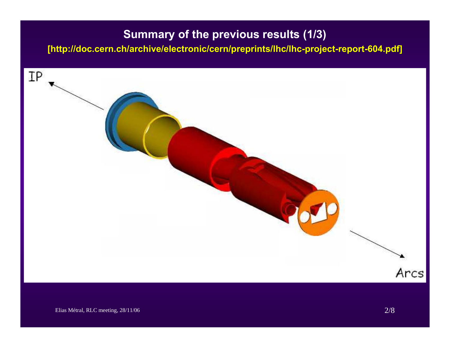## **Summary of the previous results (1/3)**

**[http://doc.cern.ch/archive/elect http://doc.cern.ch/archive/electronic/cern/preprints/lhc/lhc ronic/cern/preprints/lhc/lhc-project project-report-604.pdf] 604.pdf]**

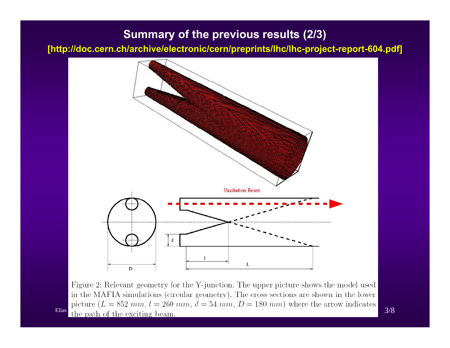#### **Summary of the previous results (2/3)**

**[http://doc.cern.ch/archive/elect http://doc.cern.ch/archive/electronic/cern/preprints/lhc/lhc ronic/cern/preprints/lhc/lhc-project project-report-604.pdf] 604.pdf]**



Figure 2: Relevant geometry for the Y-junction. The upper picture shows the model used in the MAFIA simulations (circular geometry). The cross sections are shown in the lower picture  $(L = 852 \, mm, l = 260 \, mm, d = 54 \, mm, D = 180 \, mm)$  where the arrow indicates Elias the path of the exciting beam.  $3/8$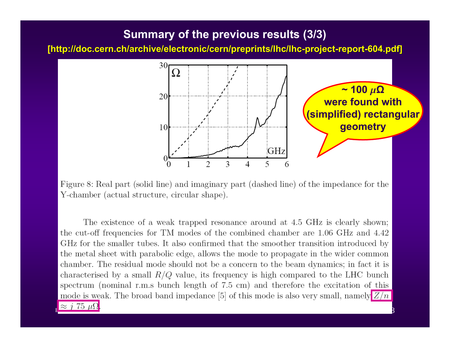#### **Summary of the previous results (3/3)**

**[http://doc.cern.ch/archive/elect http://doc.cern.ch/archive/electronic/cern/preprints/lhc/lhc ronic/cern/preprints/lhc/lhc-project project-report-604.pdf] 604.pdf]**



Figure 8: Real part (solid line) and imaginary part (dashed line) of the impedance for the Y-chamber (actual structure, circular shape).

The existence of a weak trapped resonance around at 4.5 GHz is clearly shown; the cut-off frequencies for TM modes of the combined chamber are 1.06 GHz and 4.42 GHz for the smaller tubes. It also confirmed that the smoother transition introduced by the metal sheet with parabolic edge, allows the mode to propagate in the wider common chamber. The residual mode should not be a concern to the beam dynamics; in fact it is characterised by a small  $R/Q$  value, its frequency is high compared to the LHC bunch spectrum (nominal r.m.s bunch length of 7.5 cm) and therefore the excitation of this mode is weak. The broad band impedance [5] of this mode is also very small, namely  $Z/n$ 

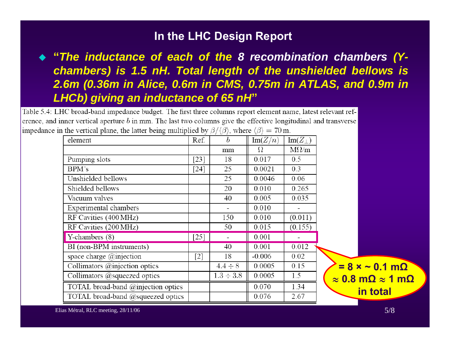#### **In the LHC Design Report**

## **"***The inductance of each of the 8 recombination chambers (Ychambers) is 1.5 nH. Total length of the unshielded bellows is 2.6m (0.36m in Alice, 0.6m in CMS, 0.75m in ATLAS, and 0.9m in LHCb) giving an inductance of 65 nH***"**

Table 5.4: LHC broad-band impedance budget. The first three columns report element name, latest relevant reference, and inner vertical aperture  $b$  in mm. The last two columns give the effective longitudinal and transverse impedance in the vertical plane, the latter being multiplied by  $\beta/\langle \beta \rangle$ , where  $\langle \beta \rangle = 70$  m.

| element                              | Ref.   | $\boldsymbol{b}$ | Im(Z/n)  | $\text{Im}(Z_{\perp})$ |                                       |
|--------------------------------------|--------|------------------|----------|------------------------|---------------------------------------|
|                                      |        | mm               | Ω        | $M\Omega/m$            |                                       |
| Pumping slots                        | $[23]$ | 18               | 0.017    | 0.5                    |                                       |
| BPM's                                | $[24]$ | 25               | 0.0021   | 0.3                    |                                       |
| Unshielded bellows                   |        | 25               | 0.0046   | 0.06                   |                                       |
| Shielded bellows                     |        | 20               | 0.010    | 0.265                  |                                       |
| Vacuum valves                        |        | 40               | 0.005    | 0.035                  |                                       |
| Experimental chambers                |        | -                | 0.010    | Ξ.                     |                                       |
| RF Cavities (400 MHz)                |        | 150              | 0.010    | (0.011)                |                                       |
| RF Cavities (200 MHz)                |        | 50               | 0.015    | (0.155)                |                                       |
| Y-chambers (8)                       | $[25]$ |                  | 0.001    |                        |                                       |
| BI (non-BPM instruments)             |        | 40               | 0.001    | 0.012                  |                                       |
| space charge $@$ injection           | $[2]$  | 18               | $-0.006$ | 0.02                   |                                       |
| Collimators $@$ injection optics     |        | $4.4 \div 8$     | 0.0005   | 0.15                   | $= 8 \times -0.1$ m $\Omega$          |
| Collimators $@$ squeezed optics      |        | $1.3 \div 3.8$   | 0.0005   | 1.5                    | $\approx$ 0.8 m $\Omega \approx$ 1 m! |
| TOTAL broad-band @injection optics   |        |                  | 0.070    | 1.34                   | in total                              |
| TOTAL broad-band $@$ squeezed optics |        |                  | 0.076    | 2.67                   |                                       |

**<sup>ª</sup> 1 mΩ**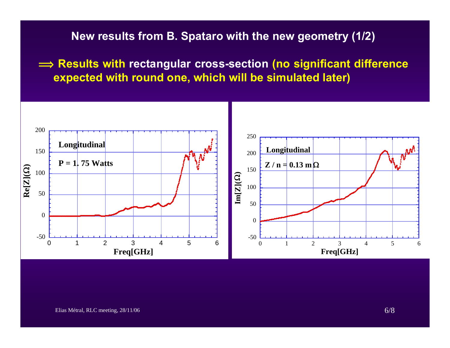**New results from B. Spataro with the new geometry (1/2)**

**î Results with rectangular cross-section (no significant difference expected with round one, which will be simulated later)**

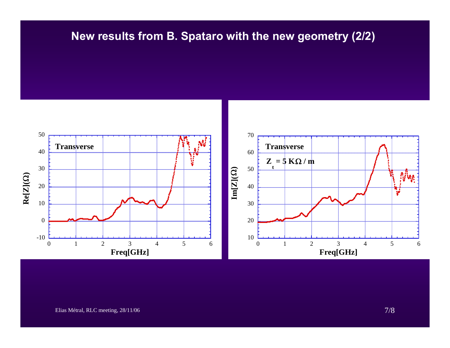## **New results from B. Spataro with the new geometry (2/2)**